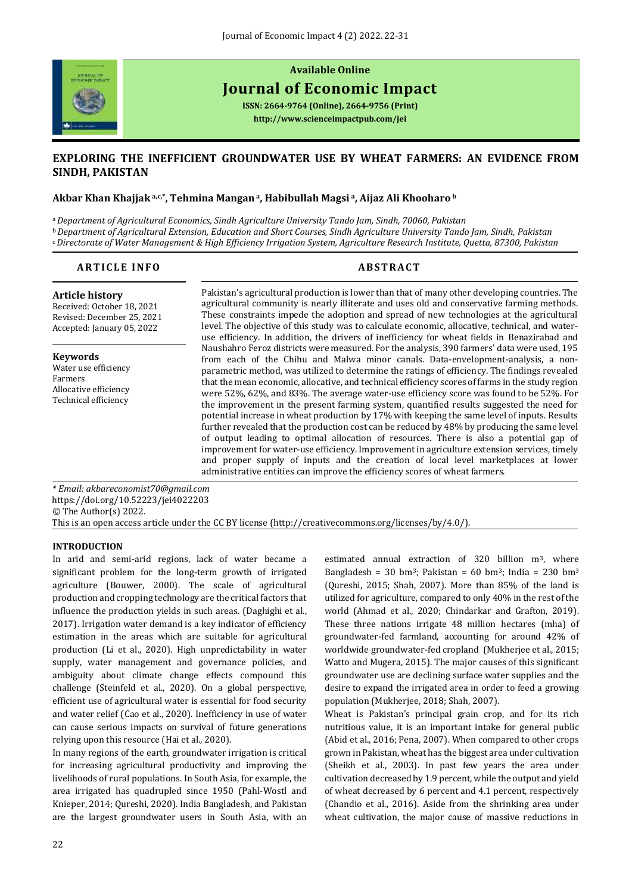

# **Available Online Journal of Economic Impact**

**ISSN: 2664-9764 (Online), 2664-9756 (Print) <http://www.scienceimpactpub.com/jei>**

## **EXPLORING THE INEFFICIENT GROUNDWATER USE BY WHEAT FARMERS: AN EVIDENCE FROM SINDH, PAKISTAN**

### **Akbar Khan Khajjak a,c,\* , Tehmina Mangan <sup>a</sup>, Habibullah Magsi <sup>a</sup>, Aijaz Ali Khooharo <sup>b</sup>**

<sup>a</sup>*Department of Agricultural Economics, Sindh Agriculture University Tando Jam, Sindh, 70060, Pakistan* <sup>b</sup>*Department of Agricultural Extension, Education and Short Courses, Sindh Agriculture University Tando Jam, Sindh, Pakistan* <sup>c</sup>*Directorate of Water Management & High Efficiency Irrigation System, Agriculture Research Institute, Quetta, 87300, Pakistan*

### **ARTICLE INFO ABSTRACT**

**Article history**  Received: October 18, 2021 Revised: December 25, 2021 Accepted: January 05, 2022

**Keywords** Water use efficiency Farmers Allocative efficiency Technical efficiency

Pakistan's agricultural production is lower than that of many other developing countries. The agricultural community is nearly illiterate and uses old and conservative farming methods. These constraints impede the adoption and spread of new technologies at the agricultural level. The objective of this study was to calculate economic, allocative, technical, and wateruse efficiency. In addition, the drivers of inefficiency for wheat fields in Benazirabad and Naushahro Feroz districts were measured. For the analysis, 390 farmers' data were used, 195 from each of the Chihu and Malwa minor canals. Data-envelopment-analysis, a nonparametric method, was utilized to determine the ratings of efficiency. The findings revealed that the mean economic, allocative, and technical efficiency scores of farms in the study region were 52%, 62%, and 83%. The average water-use efficiency score was found to be 52%. For the improvement in the present farming system, quantified results suggested the need for potential increase in wheat production by 17% with keeping the same level of inputs. Results further revealed that the production cost can be reduced by 48% by producing the same level of output leading to optimal allocation of resources. There is also a potential gap of improvement for water-use efficiency. Improvement in agriculture extension services, timely and proper supply of inputs and the creation of local level marketplaces at lower administrative entities can improve the efficiency scores of wheat farmers.

*\* Email[: akbareconomist70@gmail.com](mailto:akbareconomist70@gmail.com)* <https://doi.org/10.52223/jei4022203> © The Author(s) 2022. This is an open access article under the CC BY license [\(http://creativecommons.org/licenses/by/4.0/\)](http://creativecommons.org/licenses/by/4.0/).

#### **INTRODUCTION**

In arid and semi-arid regions, lack of water became a significant problem for the long-term growth of irrigated agriculture (Bouwer, 2000). The scale of agricultural production and cropping technology are the critical factors that influence the production yields in such areas. (Daghighi et al., 2017). Irrigation water demand is a key indicator of efficiency estimation in the areas which are suitable for agricultural production (Li et al., 2020). High unpredictability in water supply, water management and governance policies, and ambiguity about climate change effects compound this challenge (Steinfeld et al., 2020). On a global perspective, efficient use of agricultural water is essential for food security and water relief (Cao et al., 2020). Inefficiency in use of water can cause serious impacts on survival of future generations relying upon this resource (Hai et al., 2020).

In many regions of the earth, groundwater irrigation is critical for increasing agricultural productivity and improving the livelihoods of rural populations. In South Asia, for example, the area irrigated has quadrupled since 1950 (Pahl-Wostl and Knieper, 2014; Qureshi, 2020). India Bangladesh, and Pakistan are the largest groundwater users in South Asia, with an estimated annual extraction of 320 billion m3, where Bangladesh = 30 bm<sup>3</sup>; Pakistan = 60 bm<sup>3</sup>; India = 230 bm<sup>3</sup> (Qureshi, 2015; Shah, 2007). More than 85% of the land is utilized for agriculture, compared to only 40% in the rest of the world (Ahmad et al., 2020; Chindarkar and Grafton, 2019). These three nations irrigate 48 million hectares (mha) of groundwater-fed farmland, accounting for around 42% of worldwide groundwater-fed cropland (Mukherjee et al., 2015; Watto and Mugera, 2015). The major causes of this significant groundwater use are declining surface water supplies and the desire to expand the irrigated area in order to feed a growing population (Mukherjee, 2018; Shah, 2007).

Wheat is Pakistan's principal grain crop, and for its rich nutritious value, it is an important intake for general public (Abid et al., 2016; Pena, 2007). When compared to other crops grown in Pakistan, wheat has the biggest area under cultivation (Sheikh et al., 2003). In past few years the area under cultivation decreased by 1.9 percent, while the output and yield of wheat decreased by 6 percent and 4.1 percent, respectively (Chandio et al., 2016). Aside from the shrinking area under wheat cultivation, the major cause of massive reductions in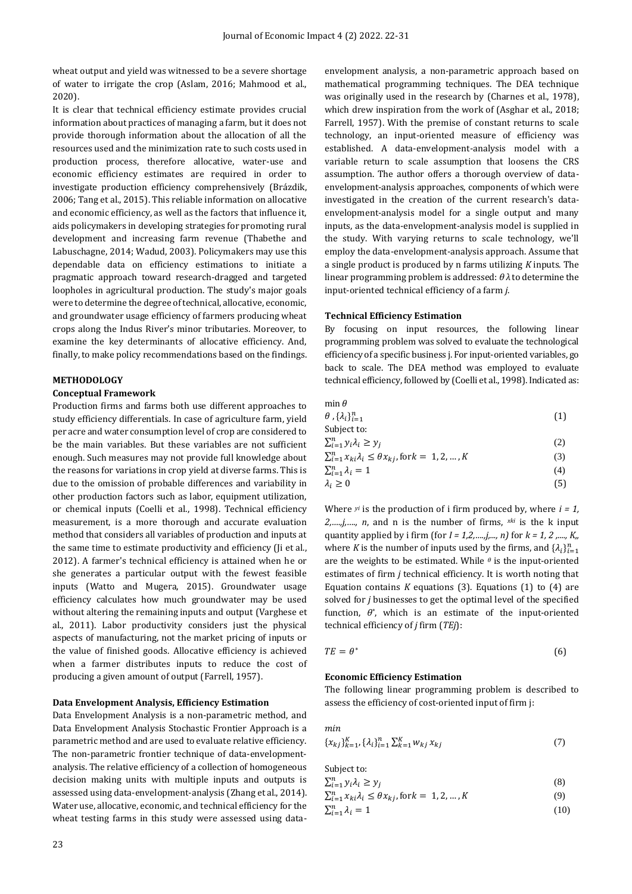wheat output and yield was witnessed to be a severe shortage of water to irrigate the crop (Aslam, 2016; Mahmood et al., 2020).

It is clear that technical efficiency estimate provides crucial information about practices of managing a farm, but it does not provide thorough information about the allocation of all the resources used and the minimization rate to such costs used in production process, therefore allocative, water-use and economic efficiency estimates are required in order to investigate production efficiency comprehensively (Brázdik, 2006; Tang et al., 2015). This reliable information on allocative and economic efficiency, as well as the factors that influence it, aids policymakers in developing strategies for promoting rural development and increasing farm revenue (Thabethe and Labuschagne, 2014; Wadud, 2003). Policymakers may use this dependable data on efficiency estimations to initiate a pragmatic approach toward research-dragged and targeted loopholes in agricultural production. The study's major goals were to determine the degree of technical, allocative, economic, and groundwater usage efficiency of farmers producing wheat crops along the Indus River's minor tributaries. Moreover, to examine the key determinants of allocative efficiency. And, finally, to make policy recommendations based on the findings.

#### **METHODOLOGY**

#### **Conceptual Framework**

Production firms and farms both use different approaches to study efficiency differentials. In case of agriculture farm, yield per acre and water consumption level of crop are considered to be the main variables. But these variables are not sufficient enough. Such measures may not provide full knowledge about the reasons for variations in crop yield at diverse farms. This is due to the omission of probable differences and variability in other production factors such as labor, equipment utilization, or chemical inputs (Coelli et al., 1998). Technical efficiency measurement, is a more thorough and accurate evaluation method that considers all variables of production and inputs at the same time to estimate productivity and efficiency (Ji et al., 2012). A farmer's technical efficiency is attained when he or she generates a particular output with the fewest feasible inputs (Watto and Mugera, 2015). Groundwater usage efficiency calculates how much groundwater may be used without altering the remaining inputs and output (Varghese et al., 2011). Labor productivity considers just the physical aspects of manufacturing, not the market pricing of inputs or the value of finished goods. Allocative efficiency is achieved when a farmer distributes inputs to reduce the cost of producing a given amount of output (Farrell, 1957).

#### **Data Envelopment Analysis, Efficiency Estimation**

Data Envelopment Analysis is a non-parametric method, and Data Envelopment Analysis Stochastic Frontier Approach is a parametric method and are used to evaluate relative efficiency. The non-parametric frontier technique of data-envelopmentanalysis. The relative efficiency of a collection of homogeneous decision making units with multiple inputs and outputs is assessed using data-envelopment-analysis (Zhang et al., 2014). Water use, allocative, economic, and technical efficiency for the wheat testing farms in this study were assessed using dataenvelopment analysis, a non-parametric approach based on mathematical programming techniques. The DEA technique was originally used in the research by (Charnes et al., 1978), which drew inspiration from the work of (Asghar et al., 2018; Farrell, 1957). With the premise of constant returns to scale technology, an input-oriented measure of efficiency was established. A data-envelopment-analysis model with a variable return to scale assumption that loosens the CRS assumption. The author offers a thorough overview of dataenvelopment-analysis approaches, components of which were investigated in the creation of the current research's dataenvelopment-analysis model for a single output and many inputs, as the data-envelopment-analysis model is supplied in the study. With varying returns to scale technology, we'll employ the data-envelopment-analysis approach. Assume that a single product is produced by n farms utilizing *K* inputs. The linear programming problem is addressed: *θ λ* to determine the input-oriented technical efficiency of a farm *j*.

#### **Technical Efficiency Estimation**

By focusing on input resources, the following linear programming problem was solved to evaluate the technological efficiency of a specific business j. For input-oriented variables, go back to scale. The DEA method was employed to evaluate technical efficiency, followed by (Coelli et al., 1998). Indicated as:

| $min \theta$                                                             |     |
|--------------------------------------------------------------------------|-----|
| $\theta$ , $\{\lambda_i\}_{i=1}^n$                                       | (1) |
| Subject to:                                                              |     |
| $\sum_{i=1}^n y_i \lambda_i \geq y_i$                                    | (2) |
| $\sum_{i=1}^n x_{ki} \lambda_i \leq \theta x_{ki}$ , for $k = 1, 2, , K$ | (3) |
| $\sum_{i=1}^n \lambda_i = 1$                                             | (4) |
| $\lambda_i \geq 0$                                                       | (5) |
|                                                                          |     |

Where  $y_i$  is the production of *i* firm produced by, where  $i = 1$ , *2,….,j,…., n*, and n is the number of firms, *xki* is the k input quantity applied by i firm (for *I = 1,2,….,j,..., n)* for *k = 1, 2 ,...., K,,* where *K* is the number of inputs used by the firms, and  $\{\lambda_i\}_{i=1}^n$ are the weights to be estimated. While *<sup>θ</sup>* is the input-oriented estimates of firm *j* technical efficiency. It is worth noting that Equation contains *K* equations (3). Equations (1) to (4) are solved for *j* businesses to get the optimal level of the specified function,  $\theta^*$ , which is an estimate of the input-oriented technical efficiency of *j* firm (*TEj*):

$$
TE = \theta^* \tag{6}
$$

#### **Economic Efficiency Estimation**

The following linear programming problem is described to assess the efficiency of cost-oriented input of firm j:

$$
\min_{\{x_{kj}\}_{k=1}^K, \{\lambda_i\}_{i=1}^n} \sum_{k=1}^K w_{kj} x_{kj} \tag{7}
$$

Subject to:

- $\sum_{i=1}^n y_i \lambda_i \geq y_j$ (8)
- $\sum_{i=1}^{n} x_{ki} \lambda_i \leq \theta x_{kj}$ , for  $k = 1, 2, ..., K$ (9)  $\sum_{i=1}^n \lambda_i = 1$ (10)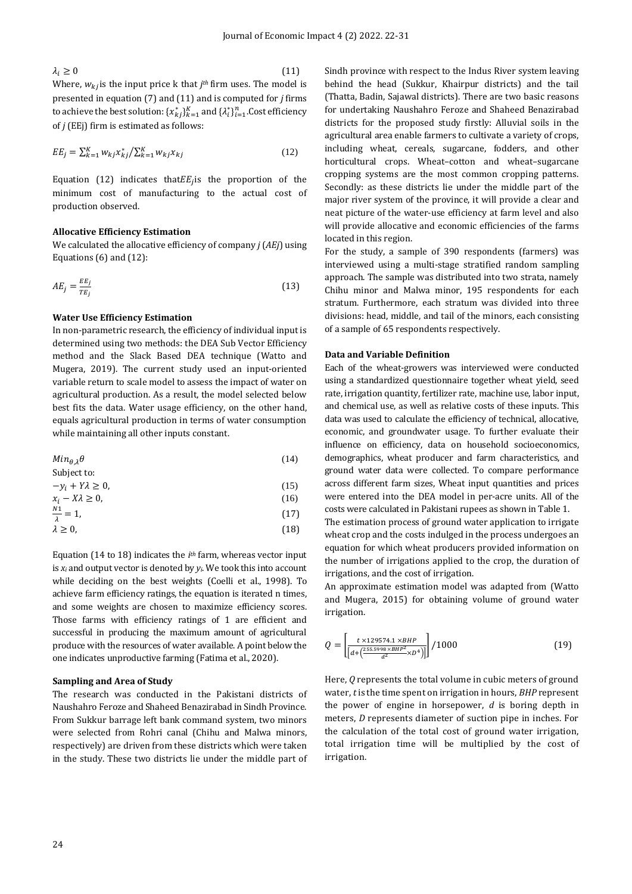$\lambda_i \geq 0$  (11) Where,  $w_{kj}$  is the input price k that  $j$ <sup>th</sup> firm uses. The model is presented in equation (7) and (11) and is computed for *j* firms to achieve the best solution:  $\{x_{kj}^*\}_{k=1}^K$  and  $\{\lambda_i^*\}_{i=1}^n$ .Cost efficiency

$$
EE_j = \sum_{k=1}^{K} w_{kj} x_{kj}^* / \sum_{k=1}^{K} w_{kj} x_{kj}
$$
 (12)

Equation (12) indicates that  $EE_j$  is the proportion of the minimum cost of manufacturing to the actual cost of production observed.

#### **Allocative Efficiency Estimation**

of *j* (EEj) firm is estimated as follows:

We calculated the allocative efficiency of company *j* (*AEj*) using Equations (6) and (12):

$$
AE_j = \frac{EE_j}{TE_j} \tag{13}
$$

#### **Water Use Efficiency Estimation**

In non-parametric research, the efficiency of individual input is determined using two methods: the DEA Sub Vector Efficiency method and the Slack Based DEA technique (Watto and Mugera, 2019). The current study used an input-oriented variable return to scale model to assess the impact of water on agricultural production. As a result, the model selected below best fits the data. Water usage efficiency, on the other hand, equals agricultural production in terms of water consumption while maintaining all other inputs constant.

$$
Min_{\theta,\lambda}\theta\tag{14}
$$

$$
-y_i + Y\lambda \ge 0,\tag{15}
$$

$$
x_i - X\lambda \ge 0,\tag{16}
$$

$$
\frac{N1}{\lambda} = 1,\tag{17}
$$

$$
\lambda \geq 0,\tag{18}
$$

Equation (14 to 18) indicates the *i th* farm, whereas vector input is *x<sup>i</sup>* and output vector is denoted by *yi*. We took this into account while deciding on the best weights (Coelli et al., 1998). To achieve farm efficiency ratings, the equation is iterated n times, and some weights are chosen to maximize efficiency scores. Those farms with efficiency ratings of 1 are efficient and successful in producing the maximum amount of agricultural produce with the resources of water available. A point below the one indicates unproductive farming (Fatima et al., 2020).

#### **Sampling and Area of Study**

The research was conducted in the Pakistani districts of Naushahro Feroze and Shaheed Benazirabad in Sindh Province. From Sukkur barrage left bank command system, two minors were selected from Rohri canal (Chihu and Malwa minors, respectively) are driven from these districts which were taken in the study. These two districts lie under the middle part of Sindh province with respect to the Indus River system leaving behind the head (Sukkur, Khairpur districts) and the tail (Thatta, Badin, Sajawal districts). There are two basic reasons for undertaking Naushahro Feroze and Shaheed Benazirabad districts for the proposed study firstly: Alluvial soils in the agricultural area enable farmers to cultivate a variety of crops, including wheat, cereals, sugarcane, fodders, and other horticultural crops. Wheat–cotton and wheat–sugarcane cropping systems are the most common cropping patterns. Secondly: as these districts lie under the middle part of the major river system of the province, it will provide a clear and neat picture of the water-use efficiency at farm level and also will provide allocative and economic efficiencies of the farms located in this region.

For the study, a sample of 390 respondents (farmers) was interviewed using a multi-stage stratified random sampling approach. The sample was distributed into two strata, namely Chihu minor and Malwa minor, 195 respondents for each stratum. Furthermore, each stratum was divided into three divisions: head, middle, and tail of the minors, each consisting of a sample of 65 respondents respectively.

#### **Data and Variable Definition**

Each of the wheat-growers was interviewed were conducted using a standardized questionnaire together wheat yield, seed rate, irrigation quantity, fertilizer rate, machine use, labor input, and chemical use, as well as relative costs of these inputs. This data was used to calculate the efficiency of technical, allocative, economic, and groundwater usage. To further evaluate their influence on efficiency, data on household socioeconomics, demographics, wheat producer and farm characteristics, and ground water data were collected. To compare performance across different farm sizes, Wheat input quantities and prices were entered into the DEA model in per-acre units. All of the costs were calculated in Pakistani rupees as shown in Table 1.

The estimation process of ground water application to irrigate wheat crop and the costs indulged in the process undergoes an equation for which wheat producers provided information on the number of irrigations applied to the crop, the duration of irrigations, and the cost of irrigation.

An approximate estimation model was adapted from (Watto and Mugera, 2015) for obtaining volume of ground water irrigation.

$$
Q = \left[\frac{t \times 129574.1 \times BHP}{\left[d + \left(\frac{255.5998 \times BHP^2}{d^2} \times D^4\right)\right]}\right] / 1000\tag{19}
$$

Here, *Q* represents the total volume in cubic meters of ground water, *t* is the time spent on irrigation in hours, *BHP* represent the power of engine in horsepower, *d* is boring depth in meters, *D* represents diameter of suction pipe in inches. For the calculation of the total cost of ground water irrigation, total irrigation time will be multiplied by the cost of irrigation.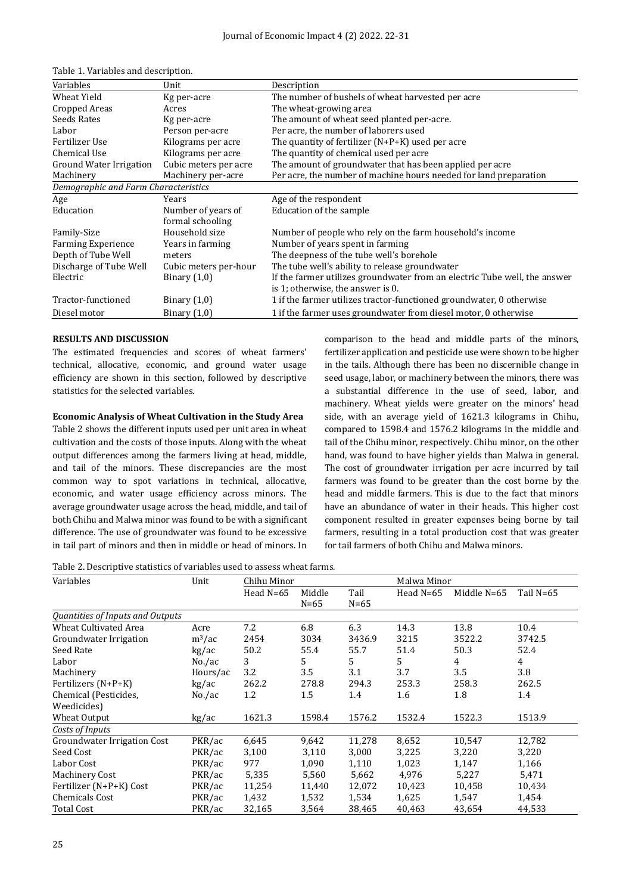| Variables                            | Unit                  | Description                                                               |
|--------------------------------------|-----------------------|---------------------------------------------------------------------------|
| Wheat Yield                          | Kg per-acre           | The number of bushels of wheat harvested per acre                         |
| Cropped Areas                        | Acres                 | The wheat-growing area                                                    |
| Seeds Rates                          | Kg per-acre           | The amount of wheat seed planted per-acre.                                |
| Labor                                | Person per-acre       | Per acre, the number of laborers used                                     |
| Fertilizer Use                       | Kilograms per acre    | The quantity of fertilizer $(N+P+K)$ used per acre                        |
| Chemical Use                         | Kilograms per acre    | The quantity of chemical used per acre                                    |
| Ground Water Irrigation              | Cubic meters per acre | The amount of groundwater that has been applied per acre                  |
| Machinery                            | Machinery per-acre    | Per acre, the number of machine hours needed for land preparation         |
| Demographic and Farm Characteristics |                       |                                                                           |
| Age                                  | Years                 | Age of the respondent                                                     |
| Education                            | Number of years of    | Education of the sample                                                   |
|                                      | formal schooling      |                                                                           |
| Family-Size                          | Household size        | Number of people who rely on the farm household's income                  |
| <b>Farming Experience</b>            | Years in farming      | Number of years spent in farming                                          |
| Depth of Tube Well                   | meters                | The deepness of the tube well's borehole                                  |
| Discharge of Tube Well               | Cubic meters per-hour | The tube well's ability to release groundwater                            |
| Electric                             | Binary $(1,0)$        | If the farmer utilizes groundwater from an electric Tube well, the answer |
|                                      |                       | is 1; otherwise, the answer is 0.                                         |
| Tractor-functioned                   | Binary $(1,0)$        | 1 if the farmer utilizes tractor-functioned groundwater, 0 otherwise      |
| Diesel motor                         | Binary $(1,0)$        | 1 if the farmer uses groundwater from diesel motor, 0 otherwise           |

#### **RESULTS AND DISCUSSION**

The estimated frequencies and scores of wheat farmers' technical, allocative, economic, and ground water usage efficiency are shown in this section, followed by descriptive statistics for the selected variables.

#### **Economic Analysis of Wheat Cultivation in the Study Area**

Table 2 shows the different inputs used per unit area in wheat cultivation and the costs of those inputs. Along with the wheat output differences among the farmers living at head, middle, and tail of the minors. These discrepancies are the most common way to spot variations in technical, allocative, economic, and water usage efficiency across minors. The average groundwater usage across the head, middle, and tail of both Chihu and Malwa minor was found to be with a significant difference. The use of groundwater was found to be excessive in tail part of minors and then in middle or head of minors. In comparison to the head and middle parts of the minors, fertilizer application and pesticide use were shown to be higher in the tails. Although there has been no discernible change in seed usage, labor, or machinery between the minors, there was a substantial difference in the use of seed, labor, and machinery. Wheat yields were greater on the minors' head side, with an average yield of 1621.3 kilograms in Chihu, compared to 1598.4 and 1576.2 kilograms in the middle and tail of the Chihu minor, respectively. Chihu minor, on the other hand, was found to have higher yields than Malwa in general. The cost of groundwater irrigation per acre incurred by tail farmers was found to be greater than the cost borne by the head and middle farmers. This is due to the fact that minors have an abundance of water in their heads. This higher cost component resulted in greater expenses being borne by tail farmers, resulting in a total production cost that was greater for tail farmers of both Chihu and Malwa minors.

Table 2. Descriptive statistics of variables used to assess wheat farms.

| Variables                        | Unit         | Chihu Minor |          |        | Malwa Minor |                |             |  |
|----------------------------------|--------------|-------------|----------|--------|-------------|----------------|-------------|--|
|                                  |              | Head $N=65$ | Middle   | Tail   | Head $N=65$ | Middle N=65    | Tail $N=65$ |  |
|                                  |              |             | $N = 65$ | $N=65$ |             |                |             |  |
| Quantities of Inputs and Outputs |              |             |          |        |             |                |             |  |
| <b>Wheat Cultivated Area</b>     | Acre         | 7.2         | 6.8      | 6.3    | 14.3        | 13.8           | 10.4        |  |
| Groundwater Irrigation           | $\rm m^3/ac$ | 2454        | 3034     | 3436.9 | 3215        | 3522.2         | 3742.5      |  |
| Seed Rate                        | kg/ac        | 50.2        | 55.4     | 55.7   | 51.4        | 50.3           | 52.4        |  |
| Labor                            | No./ac       | 3           | 5        | 5      | 5           | $\overline{4}$ | 4           |  |
| Machinery                        | Hours/ac     | 3.2         | 3.5      | 3.1    | 3.7         | 3.5            | 3.8         |  |
| Fertilizers (N+P+K)              | kg/ac        | 262.2       | 278.8    | 294.3  | 253.3       | 258.3          | 262.5       |  |
| Chemical (Pesticides,            | No./ac       | 1.2         | 1.5      | 1.4    | 1.6         | 1.8            | 1.4         |  |
| Weedicides)                      |              |             |          |        |             |                |             |  |
| Wheat Output                     | kg/ac        | 1621.3      | 1598.4   | 1576.2 | 1532.4      | 1522.3         | 1513.9      |  |
| Costs of Inputs                  |              |             |          |        |             |                |             |  |
| Groundwater Irrigation Cost      | PKR/ac       | 6,645       | 9,642    | 11,278 | 8,652       | 10,547         | 12,782      |  |
| Seed Cost                        | PKR/ac       | 3,100       | 3,110    | 3,000  | 3,225       | 3,220          | 3,220       |  |
| Labor Cost                       | PKR/ac       | 977         | 1,090    | 1,110  | 1,023       | 1,147          | 1,166       |  |
| Machinery Cost                   | PKR/ac       | 5,335       | 5,560    | 5,662  | 4,976       | 5,227          | 5,471       |  |
| Fertilizer (N+P+K) Cost          | PKR/ac       | 11,254      | 11,440   | 12,072 | 10,423      | 10,458         | 10,434      |  |
| <b>Chemicals Cost</b>            | PKR/ac       | 1,432       | 1,532    | 1,534  | 1,625       | 1,547          | 1,454       |  |
| <b>Total Cost</b>                | PKR/ac       | 32,165      | 3,564    | 38,465 | 40,463      | 43,654         | 44,533      |  |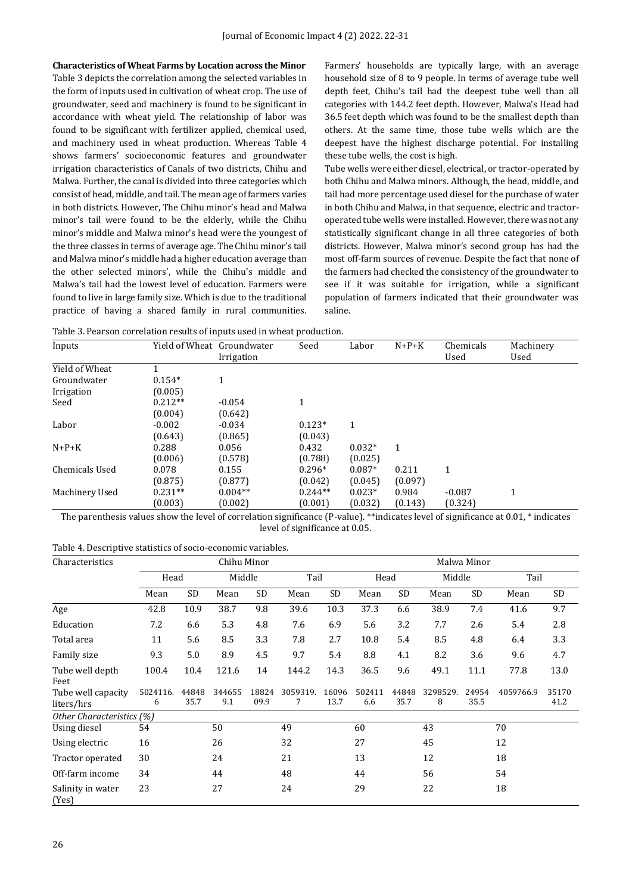**Characteristics of Wheat Farms by Location across the Minor** Table 3 depicts the correlation among the selected variables in the form of inputs used in cultivation of wheat crop. The use of groundwater, seed and machinery is found to be significant in accordance with wheat yield. The relationship of labor was found to be significant with fertilizer applied, chemical used, and machinery used in wheat production. Whereas Table 4 shows farmers' socioeconomic features and groundwater irrigation characteristics of Canals of two districts, Chihu and Malwa. Further, the canal is divided into three categories which consist of head, middle, and tail. The mean age of farmers varies in both districts. However, The Chihu minor's head and Malwa minor's tail were found to be the elderly, while the Chihu minor's middle and Malwa minor's head were the youngest of the three classes in terms of average age. The Chihu minor's tail and Malwa minor's middle had a higher education average than the other selected minors', while the Chihu's middle and Malwa's tail had the lowest level of education. Farmers were found to live in large family size. Which is due to the traditional practice of having a shared family in rural communities. Farmers' households are typically large, with an average household size of 8 to 9 people. In terms of average tube well depth feet, Chihu's tail had the deepest tube well than all categories with 144.2 feet depth. However, Malwa's Head had 36.5 feet depth which was found to be the smallest depth than others. At the same time, those tube wells which are the deepest have the highest discharge potential. For installing these tube wells, the cost is high.

Tube wells were either diesel, electrical, or tractor-operated by both Chihu and Malwa minors. Although, the head, middle, and tail had more percentage used diesel for the purchase of water in both Chihu and Malwa, in that sequence, electric and tractoroperated tube wells were installed. However, there was not any statistically significant change in all three categories of both districts. However, Malwa minor's second group has had the most off-farm sources of revenue. Despite the fact that none of the farmers had checked the consistency of the groundwater to see if it was suitable for irrigation, while a significant population of farmers indicated that their groundwater was saline.

Table 3. Pearson correlation results of inputs used in wheat production.

| Inputs            | Yield of Wheat Groundwater | Irrigation | Seed      | Labor    | $N+P+K$ | Chemicals<br>Used | Machinery<br>Used |
|-------------------|----------------------------|------------|-----------|----------|---------|-------------------|-------------------|
| Yield of Wheat    |                            |            |           |          |         |                   |                   |
| Groundwater       | $0.154*$                   |            |           |          |         |                   |                   |
| <b>Irrigation</b> | (0.005)                    |            |           |          |         |                   |                   |
| Seed              | $0.212**$                  | $-0.054$   | 1         |          |         |                   |                   |
|                   | (0.004)                    | (0.642)    |           |          |         |                   |                   |
| Labor             | $-0.002$                   | $-0.034$   | $0.123*$  | 1        |         |                   |                   |
|                   | (0.643)                    | (0.865)    | (0.043)   |          |         |                   |                   |
| $N+P+K$           | 0.288                      | 0.056      | 0.432     | $0.032*$ | 1       |                   |                   |
|                   | (0.006)                    | (0.578)    | (0.788)   | (0.025)  |         |                   |                   |
| Chemicals Used    | 0.078                      | 0.155      | $0.296*$  | $0.087*$ | 0.211   | 1                 |                   |
|                   | (0.875)                    | (0.877)    | (0.042)   | (0.045)  | (0.097) |                   |                   |
| Machinery Used    | $0.231**$                  | $0.004**$  | $0.244**$ | $0.023*$ | 0.984   | $-0.087$          | $\mathbf{1}$      |
|                   | (0.003)                    | (0.002)    | (0.001)   | (0.032)  | (0.143) | (0.324)           |                   |

The parenthesis values show the level of correlation significance (P-value). \*\*indicates level of significance at 0.01, \* indicates level of significance at 0.05.

|  | Table 4. Descriptive statistics of socio-economic variables. |  |
|--|--------------------------------------------------------------|--|
|--|--------------------------------------------------------------|--|

| Characteristics                  |               |               | Chihu Minor   |               |               | Malwa Minor   |               |               |               |               |           |               |
|----------------------------------|---------------|---------------|---------------|---------------|---------------|---------------|---------------|---------------|---------------|---------------|-----------|---------------|
|                                  |               | Head          |               | Middle        |               | Tail          |               | Head          |               | Middle        |           | Tail          |
|                                  | Mean          | <b>SD</b>     | Mean          | <b>SD</b>     | Mean          | SD            | Mean          | <b>SD</b>     | Mean          | <b>SD</b>     | Mean      | SD            |
| Age                              | 42.8          | 10.9          | 38.7          | 9.8           | 39.6          | 10.3          | 37.3          | 6.6           | 38.9          | 7.4           | 41.6      | 9.7           |
| Education                        | 7.2           | 6.6           | 5.3           | 4.8           | 7.6           | 6.9           | 5.6           | 3.2           | 7.7           | 2.6           | 5.4       | 2.8           |
| Total area                       | 11            | 5.6           | 8.5           | 3.3           | 7.8           | 2.7           | 10.8          | 5.4           | 8.5           | 4.8           | 6.4       | 3.3           |
| Family size                      | 9.3           | 5.0           | 8.9           | 4.5           | 9.7           | 5.4           | 8.8           | 4.1           | 8.2           | 3.6           | 9.6       | 4.7           |
| Tube well depth<br>Feet          | 100.4         | 10.4          | 121.6         | 14            | 144.2         | 14.3          | 36.5          | 9.6           | 49.1          | 11.1          | 77.8      | 13.0          |
| Tube well capacity<br>liters/hrs | 5024116.<br>6 | 44848<br>35.7 | 344655<br>9.1 | 18824<br>09.9 | 3059319.<br>7 | 16096<br>13.7 | 502411<br>6.6 | 44848<br>35.7 | 3298529.<br>8 | 24954<br>35.5 | 4059766.9 | 35170<br>41.2 |
| Other Characteristics (%)        |               |               |               |               |               |               |               |               |               |               |           |               |
| Using diesel                     | 54            |               | 50            |               | 49            |               | 60            |               | 43            |               | 70        |               |
| Using electric                   | 16            |               | 26            |               | 32            |               | 27            |               | 45            |               | 12        |               |
| Tractor operated                 | 30            |               | 24            |               | 21            |               | 13            |               | 12            |               | 18        |               |
| Off-farm income                  | 34            |               | 44            |               | 48            |               | 44            |               | 56            |               | 54        |               |
| Salinity in water<br>(Yes)       | 23            |               | 27            |               | 24            |               | 29            |               | 22            |               | 18        |               |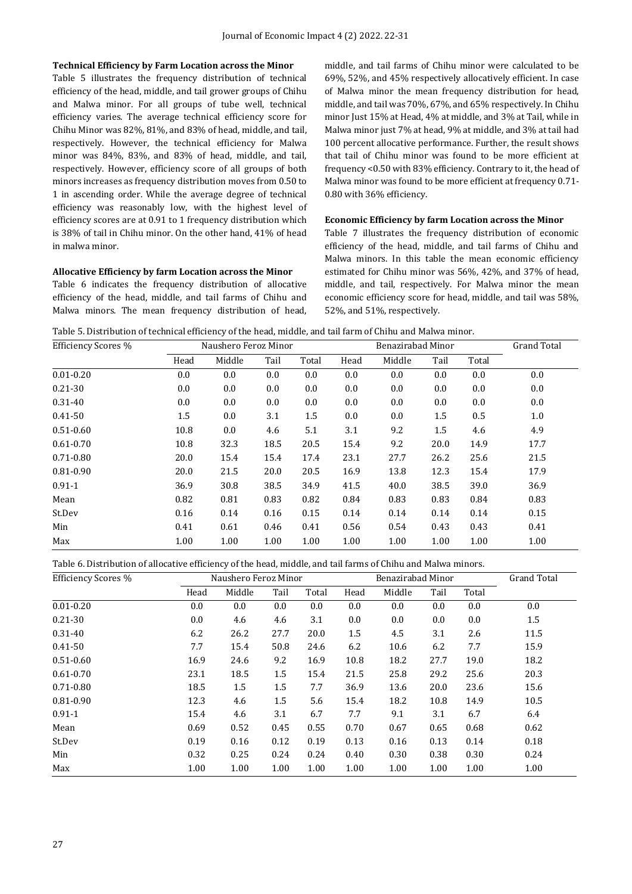#### **Technical Efficiency by Farm Location across the Minor**

Table 5 illustrates the frequency distribution of technical efficiency of the head, middle, and tail grower groups of Chihu and Malwa minor. For all groups of tube well, technical efficiency varies. The average technical efficiency score for Chihu Minor was 82%, 81%, and 83% of head, middle, and tail, respectively. However, the technical efficiency for Malwa minor was 84%, 83%, and 83% of head, middle, and tail, respectively. However, efficiency score of all groups of both minors increases as frequency distribution moves from 0.50 to 1 in ascending order. While the average degree of technical efficiency was reasonably low, with the highest level of efficiency scores are at 0.91 to 1 frequency distribution which is 38% of tail in Chihu minor. On the other hand, 41% of head in malwa minor.

#### **Allocative Efficiency by farm Location across the Minor**

Table 6 indicates the frequency distribution of allocative efficiency of the head, middle, and tail farms of Chihu and Malwa minors. The mean frequency distribution of head, middle, and tail farms of Chihu minor were calculated to be 69%, 52%, and 45% respectively allocatively efficient. In case of Malwa minor the mean frequency distribution for head, middle, and tail was 70%, 67%, and 65% respectively. In Chihu minor Just 15% at Head, 4% at middle, and 3% at Tail, while in Malwa minor just 7% at head, 9% at middle, and 3% at tail had 100 percent allocative performance. Further, the result shows that tail of Chihu minor was found to be more efficient at frequency <0.50 with 83% efficiency. Contrary to it, the head of Malwa minor was found to be more efficient at frequency 0.71- 0.80 with 36% efficiency.

#### **Economic Efficiency by farm Location across the Minor**

Table 7 illustrates the frequency distribution of economic efficiency of the head, middle, and tail farms of Chihu and Malwa minors. In this table the mean economic efficiency estimated for Chihu minor was 56%, 42%, and 37% of head, middle, and tail, respectively. For Malwa minor the mean economic efficiency score for head, middle, and tail was 58%, 52%, and 51%, respectively.

Table 5. Distribution of technical efficiency of the head, middle, and tail farm of Chihu and Malwa minor.

| <b>Efficiency Scores %</b> | Naushero Feroz Minor<br>Benazirabad Minor |        |      |       |      |         |         |       | <b>Grand Total</b> |
|----------------------------|-------------------------------------------|--------|------|-------|------|---------|---------|-------|--------------------|
|                            | Head                                      | Middle | Tail | Total | Head | Middle  | Tail    | Total |                    |
| $0.01 - 0.20$              | 0.0                                       | 0.0    | 0.0  | 0.0   | 0.0  | $0.0\,$ | 0.0     | 0.0   | $0.0\,$            |
| $0.21 - 30$                | 0.0                                       | 0.0    | 0.0  | 0.0   | 0.0  | $0.0\,$ | 0.0     | 0.0   | $0.0\,$            |
| $0.31 - 40$                | 0.0                                       | 0.0    | 0.0  | 0.0   | 0.0  | $0.0\,$ | 0.0     | 0.0   | $0.0\,$            |
| $0.41 - 50$                | 1.5                                       | 0.0    | 3.1  | 1.5   | 0.0  | $0.0\,$ | 1.5     | 0.5   | $1.0\,$            |
| $0.51 - 0.60$              | 10.8                                      | 0.0    | 4.6  | 5.1   | 3.1  | 9.2     | $1.5\,$ | 4.6   | 4.9                |
| $0.61 - 0.70$              | 10.8                                      | 32.3   | 18.5 | 20.5  | 15.4 | 9.2     | 20.0    | 14.9  | 17.7               |
| $0.71 - 0.80$              | 20.0                                      | 15.4   | 15.4 | 17.4  | 23.1 | 27.7    | 26.2    | 25.6  | 21.5               |
| $0.81 - 0.90$              | 20.0                                      | 21.5   | 20.0 | 20.5  | 16.9 | 13.8    | 12.3    | 15.4  | 17.9               |
| $0.91 - 1$                 | 36.9                                      | 30.8   | 38.5 | 34.9  | 41.5 | 40.0    | 38.5    | 39.0  | 36.9               |
| Mean                       | 0.82                                      | 0.81   | 0.83 | 0.82  | 0.84 | 0.83    | 0.83    | 0.84  | 0.83               |
| St.Dev                     | 0.16                                      | 0.14   | 0.16 | 0.15  | 0.14 | 0.14    | 0.14    | 0.14  | 0.15               |
| Min                        | 0.41                                      | 0.61   | 0.46 | 0.41  | 0.56 | 0.54    | 0.43    | 0.43  | 0.41               |
| Max                        | 1.00                                      | 1.00   | 1.00 | 1.00  | 1.00 | 1.00    | 1.00    | 1.00  | 1.00               |

Table 6. Distribution of allocative efficiency of the head, middle, and tail farms of Chihu and Malwa minors.

| <b>Efficiency Scores %</b> |      | Naushero Feroz Minor |      |       | Benazirabad Minor |        |      |       | <b>Grand Total</b> |
|----------------------------|------|----------------------|------|-------|-------------------|--------|------|-------|--------------------|
|                            | Head | Middle               | Tail | Total | Head              | Middle | Tail | Total |                    |
| $0.01 - 0.20$              | 0.0  | 0.0                  | 0.0  | 0.0   | 0.0               | 0.0    | 0.0  | 0.0   | 0.0                |
| $0.21 - 30$                | 0.0  | 4.6                  | 4.6  | 3.1   | 0.0               | 0.0    | 0.0  | 0.0   | $1.5\,$            |
| $0.31 - 40$                | 6.2  | 26.2                 | 27.7 | 20.0  | 1.5               | 4.5    | 3.1  | 2.6   | 11.5               |
| $0.41 - 50$                | 7.7  | 15.4                 | 50.8 | 24.6  | 6.2               | 10.6   | 6.2  | 7.7   | 15.9               |
| $0.51 - 0.60$              | 16.9 | 24.6                 | 9.2  | 16.9  | 10.8              | 18.2   | 27.7 | 19.0  | 18.2               |
| $0.61 - 0.70$              | 23.1 | 18.5                 | 1.5  | 15.4  | 21.5              | 25.8   | 29.2 | 25.6  | 20.3               |
| $0.71 - 0.80$              | 18.5 | 1.5                  | 1.5  | 7.7   | 36.9              | 13.6   | 20.0 | 23.6  | 15.6               |
| $0.81 - 0.90$              | 12.3 | 4.6                  | 1.5  | 5.6   | 15.4              | 18.2   | 10.8 | 14.9  | 10.5               |
| $0.91 - 1$                 | 15.4 | 4.6                  | 3.1  | 6.7   | 7.7               | 9.1    | 3.1  | 6.7   | 6.4                |
| Mean                       | 0.69 | 0.52                 | 0.45 | 0.55  | 0.70              | 0.67   | 0.65 | 0.68  | 0.62               |
| St.Dev                     | 0.19 | 0.16                 | 0.12 | 0.19  | 0.13              | 0.16   | 0.13 | 0.14  | 0.18               |
| Min                        | 0.32 | 0.25                 | 0.24 | 0.24  | 0.40              | 0.30   | 0.38 | 0.30  | 0.24               |
| Max                        | 1.00 | 1.00                 | 1.00 | 1.00  | 1.00              | 1.00   | 1.00 | 1.00  | 1.00               |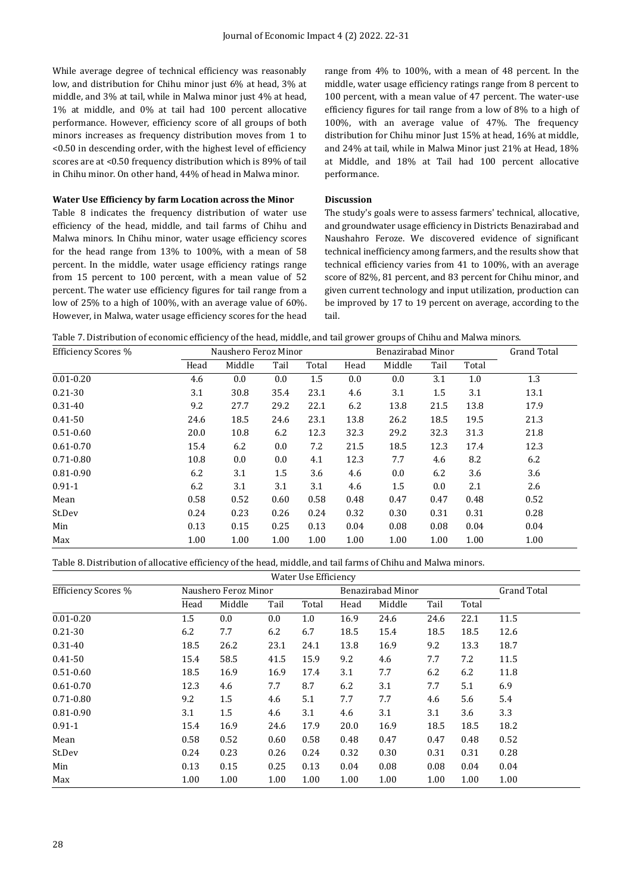While average degree of technical efficiency was reasonably low, and distribution for Chihu minor just 6% at head, 3% at middle, and 3% at tail, while in Malwa minor just 4% at head, 1% at middle, and 0% at tail had 100 percent allocative performance. However, efficiency score of all groups of both minors increases as frequency distribution moves from 1 to <0.50 in descending order, with the highest level of efficiency scores are at <0.50 frequency distribution which is 89% of tail in Chihu minor. On other hand, 44% of head in Malwa minor.

#### **Water Use Efficiency by farm Location across the Minor**

Table 8 indicates the frequency distribution of water use efficiency of the head, middle, and tail farms of Chihu and Malwa minors. In Chihu minor, water usage efficiency scores for the head range from 13% to 100%, with a mean of 58 percent. In the middle, water usage efficiency ratings range from 15 percent to 100 percent, with a mean value of 52 percent. The water use efficiency figures for tail range from a low of 25% to a high of 100%, with an average value of 60%. However, in Malwa, water usage efficiency scores for the head range from 4% to 100%, with a mean of 48 percent. In the middle, water usage efficiency ratings range from 8 percent to 100 percent, with a mean value of 47 percent. The water-use efficiency figures for tail range from a low of 8% to a high of 100%, with an average value of 47%. The frequency distribution for Chihu minor Just 15% at head, 16% at middle, and 24% at tail, while in Malwa Minor just 21% at Head, 18% at Middle, and 18% at Tail had 100 percent allocative performance.

#### **Discussion**

The study's goals were to assess farmers' technical, allocative, and groundwater usage efficiency in Districts Benazirabad and Naushahro Feroze. We discovered evidence of significant technical inefficiency among farmers, and the results show that technical efficiency varies from 41 to 100%, with an average score of 82%, 81 percent, and 83 percent for Chihu minor, and given current technology and input utilization, production can be improved by 17 to 19 percent on average, according to the tail.

| Table 7. Distribution of economic efficiency of the head, middle, and tail grower groups of Chihu and Malwa minors. |
|---------------------------------------------------------------------------------------------------------------------|
|---------------------------------------------------------------------------------------------------------------------|

| Efficiency Scores % | Benazirabad Minor<br>Naushero Feroz Minor |        |      |       |      |         |         | <b>Grand Total</b> |      |
|---------------------|-------------------------------------------|--------|------|-------|------|---------|---------|--------------------|------|
|                     | Head                                      | Middle | Tail | Total | Head | Middle  | Tail    | Total              |      |
| $0.01 - 0.20$       | 4.6                                       | 0.0    | 0.0  | 1.5   | 0.0  | 0.0     | 3.1     | 1.0                | 1.3  |
| $0.21 - 30$         | 3.1                                       | 30.8   | 35.4 | 23.1  | 4.6  | 3.1     | $1.5\,$ | 3.1                | 13.1 |
| $0.31 - 40$         | 9.2                                       | 27.7   | 29.2 | 22.1  | 6.2  | 13.8    | 21.5    | 13.8               | 17.9 |
| $0.41 - 50$         | 24.6                                      | 18.5   | 24.6 | 23.1  | 13.8 | 26.2    | 18.5    | 19.5               | 21.3 |
| $0.51 - 0.60$       | 20.0                                      | 10.8   | 6.2  | 12.3  | 32.3 | 29.2    | 32.3    | 31.3               | 21.8 |
| $0.61 - 0.70$       | 15.4                                      | 6.2    | 0.0  | 7.2   | 21.5 | 18.5    | 12.3    | 17.4               | 12.3 |
| $0.71 - 0.80$       | 10.8                                      | 0.0    | 0.0  | 4.1   | 12.3 | 7.7     | 4.6     | 8.2                | 6.2  |
| 0.81-0.90           | 6.2                                       | 3.1    | 1.5  | 3.6   | 4.6  | 0.0     | 6.2     | 3.6                | 3.6  |
| $0.91 - 1$          | 6.2                                       | 3.1    | 3.1  | 3.1   | 4.6  | $1.5\,$ | 0.0     | 2.1                | 2.6  |
| Mean                | 0.58                                      | 0.52   | 0.60 | 0.58  | 0.48 | 0.47    | 0.47    | 0.48               | 0.52 |
| St.Dev              | 0.24                                      | 0.23   | 0.26 | 0.24  | 0.32 | 0.30    | 0.31    | 0.31               | 0.28 |
| Min                 | 0.13                                      | 0.15   | 0.25 | 0.13  | 0.04 | 0.08    | 0.08    | 0.04               | 0.04 |
| Max                 | 1.00                                      | 1.00   | 1.00 | 1.00  | 1.00 | 1.00    | 1.00    | 1.00               | 1.00 |

Table 8. Distribution of allocative efficiency of the head, middle, and tail farms of Chihu and Malwa minors.

| Water Use Efficiency       |         |                      |      |       |      |                   |      |       |                    |
|----------------------------|---------|----------------------|------|-------|------|-------------------|------|-------|--------------------|
| <b>Efficiency Scores %</b> |         | Naushero Feroz Minor |      |       |      | Benazirabad Minor |      |       | <b>Grand Total</b> |
|                            | Head    | Middle               | Tail | Total | Head | Middle            | Tail | Total |                    |
| $0.01 - 0.20$              | $1.5\,$ | 0.0                  | 0.0  | 1.0   | 16.9 | 24.6              | 24.6 | 22.1  | 11.5               |
| $0.21 - 30$                | 6.2     | 7.7                  | 6.2  | 6.7   | 18.5 | 15.4              | 18.5 | 18.5  | 12.6               |
| 0.31-40                    | 18.5    | 26.2                 | 23.1 | 24.1  | 13.8 | 16.9              | 9.2  | 13.3  | 18.7               |
| $0.41 - 50$                | 15.4    | 58.5                 | 41.5 | 15.9  | 9.2  | 4.6               | 7.7  | 7.2   | 11.5               |
| $0.51 - 0.60$              | 18.5    | 16.9                 | 16.9 | 17.4  | 3.1  | 7.7               | 6.2  | 6.2   | 11.8               |
| $0.61 - 0.70$              | 12.3    | 4.6                  | 7.7  | 8.7   | 6.2  | 3.1               | 7.7  | 5.1   | 6.9                |
| $0.71 - 0.80$              | 9.2     | 1.5                  | 4.6  | 5.1   | 7.7  | 7.7               | 4.6  | 5.6   | 5.4                |
| $0.81 - 0.90$              | 3.1     | 1.5                  | 4.6  | 3.1   | 4.6  | 3.1               | 3.1  | 3.6   | 3.3                |
| $0.91 - 1$                 | 15.4    | 16.9                 | 24.6 | 17.9  | 20.0 | 16.9              | 18.5 | 18.5  | 18.2               |
| Mean                       | 0.58    | 0.52                 | 0.60 | 0.58  | 0.48 | 0.47              | 0.47 | 0.48  | 0.52               |
| St.Dev                     | 0.24    | 0.23                 | 0.26 | 0.24  | 0.32 | 0.30              | 0.31 | 0.31  | 0.28               |
| Min                        | 0.13    | 0.15                 | 0.25 | 0.13  | 0.04 | 0.08              | 0.08 | 0.04  | 0.04               |
| Max                        | 1.00    | 1.00                 | 1.00 | 1.00  | 1.00 | 1.00              | 1.00 | 1.00  | 1.00               |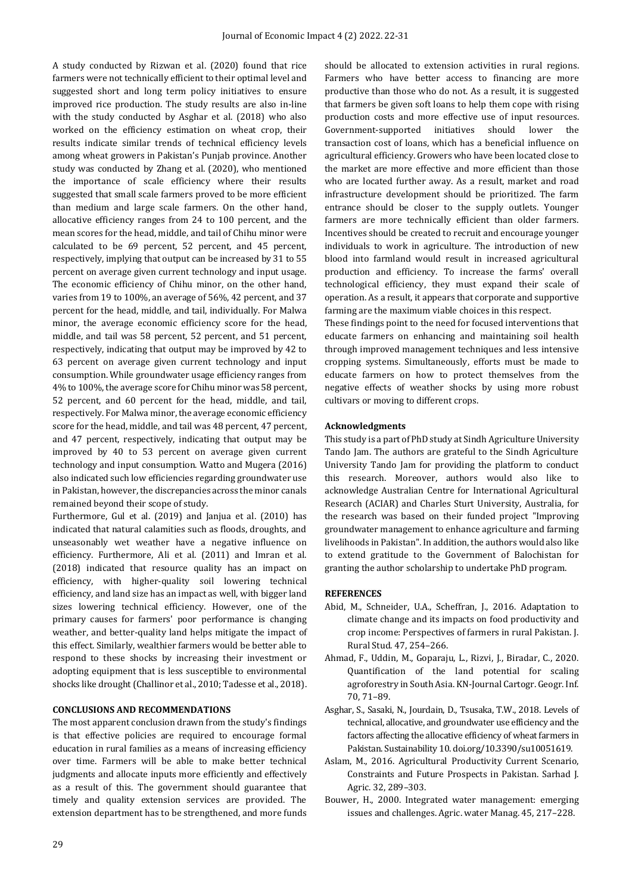A study conducted by Rizwan et al. (2020) found that rice farmers were not technically efficient to their optimal level and suggested short and long term policy initiatives to ensure improved rice production. The study results are also in-line with the study conducted by Asghar et al. (2018) who also worked on the efficiency estimation on wheat crop, their results indicate similar trends of technical efficiency levels among wheat growers in Pakistan's Punjab province. Another study was conducted by Zhang et al. (2020), who mentioned the importance of scale efficiency where their results suggested that small scale farmers proved to be more efficient than medium and large scale farmers. On the other hand, allocative efficiency ranges from 24 to 100 percent, and the mean scores for the head, middle, and tail of Chihu minor were calculated to be 69 percent, 52 percent, and 45 percent, respectively, implying that output can be increased by 31 to 55 percent on average given current technology and input usage. The economic efficiency of Chihu minor, on the other hand, varies from 19 to 100%, an average of 56%, 42 percent, and 37 percent for the head, middle, and tail, individually. For Malwa minor, the average economic efficiency score for the head, middle, and tail was 58 percent, 52 percent, and 51 percent, respectively, indicating that output may be improved by 42 to 63 percent on average given current technology and input consumption. While groundwater usage efficiency ranges from 4% to 100%, the average score for Chihu minor was 58 percent, 52 percent, and 60 percent for the head, middle, and tail, respectively. For Malwa minor, the average economic efficiency score for the head, middle, and tail was 48 percent, 47 percent, and 47 percent, respectively, indicating that output may be improved by 40 to 53 percent on average given current technology and input consumption. Watto and Mugera (2016) also indicated such low efficiencies regarding groundwater use in Pakistan, however, the discrepancies across the minor canals remained beyond their scope of study.

Furthermore, Gul et al. (2019) and Janjua et al. (2010) has indicated that natural calamities such as floods, droughts, and unseasonably wet weather have a negative influence on efficiency. Furthermore, Ali et al. (2011) and Imran et al. (2018) indicated that resource quality has an impact on efficiency, with higher-quality soil lowering technical efficiency, and land size has an impact as well, with bigger land sizes lowering technical efficiency. However, one of the primary causes for farmers' poor performance is changing weather, and better-quality land helps mitigate the impact of this effect. Similarly, wealthier farmers would be better able to respond to these shocks by increasing their investment or adopting equipment that is less susceptible to environmental shocks like drought (Challinor et al., 2010; Tadesse et al., 2018).

#### **CONCLUSIONS AND RECOMMENDATIONS**

The most apparent conclusion drawn from the study's findings is that effective policies are required to encourage formal education in rural families as a means of increasing efficiency over time. Farmers will be able to make better technical judgments and allocate inputs more efficiently and effectively as a result of this. The government should guarantee that timely and quality extension services are provided. The extension department has to be strengthened, and more funds should be allocated to extension activities in rural regions. Farmers who have better access to financing are more productive than those who do not. As a result, it is suggested that farmers be given soft loans to help them cope with rising production costs and more effective use of input resources. Government-supported initiatives should lower the transaction cost of loans, which has a beneficial influence on agricultural efficiency. Growers who have been located close to the market are more effective and more efficient than those who are located further away. As a result, market and road infrastructure development should be prioritized. The farm entrance should be closer to the supply outlets. Younger farmers are more technically efficient than older farmers. Incentives should be created to recruit and encourage younger individuals to work in agriculture. The introduction of new blood into farmland would result in increased agricultural production and efficiency. To increase the farms' overall technological efficiency, they must expand their scale of operation. As a result, it appears that corporate and supportive farming are the maximum viable choices in this respect.

These findings point to the need for focused interventions that educate farmers on enhancing and maintaining soil health through improved management techniques and less intensive cropping systems. Simultaneously, efforts must be made to educate farmers on how to protect themselves from the negative effects of weather shocks by using more robust cultivars or moving to different crops.

#### **Acknowledgments**

This study is a part of PhD study at Sindh Agriculture University Tando Jam. The authors are grateful to the Sindh Agriculture University Tando Jam for providing the platform to conduct this research. Moreover, authors would also like to acknowledge Australian Centre for International Agricultural Research (ACIAR) and Charles Sturt University, Australia, for the research was based on their funded project "Improving groundwater management to enhance agriculture and farming livelihoods in Pakistan". In addition, the authors would also like to extend gratitude to the Government of Balochistan for granting the author scholarship to undertake PhD program.

#### **REFERENCES**

- Abid, M., Schneider, U.A., Scheffran, J., 2016. Adaptation to climate change and its impacts on food productivity and crop income: Perspectives of farmers in rural Pakistan. J. Rural Stud. 47, 254–266.
- Ahmad, F., Uddin, M., Goparaju, L., Rizvi, J., Biradar, C., 2020. Quantification of the land potential for scaling agroforestry in South Asia. KN-Journal Cartogr. Geogr. Inf. 70, 71–89.
- Asghar, S., Sasaki, N., Jourdain, D., Tsusaka, T.W., 2018. Levels of technical, allocative, and groundwater use efficiency and the factors affecting the allocative efficiency of wheat farmers in Pakistan. Sustainability 10. doi.org/10.3390/su10051619.
- Aslam, M., 2016. Agricultural Productivity Current Scenario, Constraints and Future Prospects in Pakistan. Sarhad J. Agric. 32, 289–303.
- Bouwer, H., 2000. Integrated water management: emerging issues and challenges. Agric. water Manag. 45, 217–228.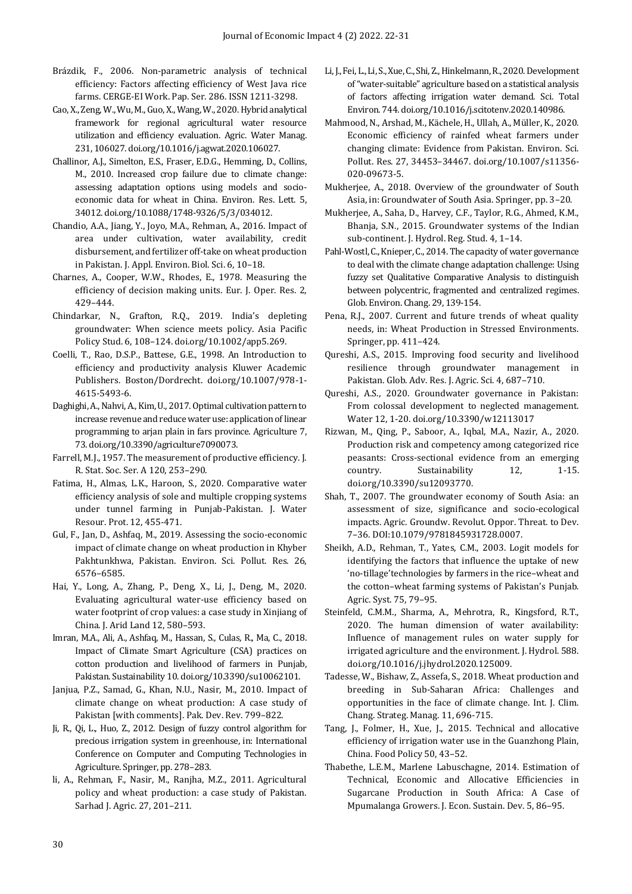- Brázdik, F., 2006. Non-parametric analysis of technical efficiency: Factors affecting efficiency of West Java rice farms. CERGE-EI Work. Pap. Ser. 286. ISSN 1211-3298.
- Cao, X., Zeng, W., Wu, M., Guo, X., Wang, W., 2020. Hybrid analytical framework for regional agricultural water resource utilization and efficiency evaluation. Agric. Water Manag. 231, 106027. doi.org/10.1016/j.agwat.2020.106027.
- Challinor, A.J., Simelton, E.S., Fraser, E.D.G., Hemming, D., Collins, M., 2010. Increased crop failure due to climate change: assessing adaptation options using models and socioeconomic data for wheat in China. Environ. Res. Lett. 5, 34012. doi.org/10.1088/1748-9326/5/3/034012.
- Chandio, A.A., Jiang, Y., Joyo, M.A., Rehman, A., 2016. Impact of area under cultivation, water availability, credit disbursement, and fertilizer off-take on wheat production in Pakistan. J. Appl. Environ. Biol. Sci. 6, 10–18.
- Charnes, A., Cooper, W.W., Rhodes, E., 1978. Measuring the efficiency of decision making units. Eur. J. Oper. Res. 2, 429–444.
- Chindarkar, N., Grafton, R.Q., 2019. India's depleting groundwater: When science meets policy. Asia Pacific Policy Stud. 6, 108–124. doi.org/10.1002/app5.269.
- Coelli, T., Rao, D.S.P., Battese, G.E., 1998. An Introduction to efficiency and productivity analysis Kluwer Academic Publishers. Boston/Dordrecht. doi.org/10.1007/978-1- 4615-5493-6.
- Daghighi, A., Nahvi, A., Kim, U., 2017. Optimal cultivation pattern to increase revenue and reduce water use: application of linear programming to arjan plain in fars province. Agriculture 7, 73. doi.org/10.3390/agriculture7090073.
- Farrell, M.J., 1957. The measurement of productive efficiency. J. R. Stat. Soc. Ser. A 120, 253–290.
- Fatima, H., Almas, L.K., Haroon, S., 2020. Comparative water efficiency analysis of sole and multiple cropping systems under tunnel farming in Punjab-Pakistan. J. Water Resour. Prot. 12, 455-471.
- Gul, F., Jan, D., Ashfaq, M., 2019. Assessing the socio-economic impact of climate change on wheat production in Khyber Pakhtunkhwa, Pakistan. Environ. Sci. Pollut. Res. 26, 6576–6585.
- Hai, Y., Long, A., Zhang, P., Deng, X., Li, J., Deng, M., 2020. Evaluating agricultural water-use efficiency based on water footprint of crop values: a case study in Xinjiang of China. J. Arid Land 12, 580–593.
- Imran, M.A., Ali, A., Ashfaq, M., Hassan, S., Culas, R., Ma, C., 2018. Impact of Climate Smart Agriculture (CSA) practices on cotton production and livelihood of farmers in Punjab, Pakistan. Sustainability 10. doi.org/10.3390/su10062101.
- Janjua, P.Z., Samad, G., Khan, N.U., Nasir, M., 2010. Impact of climate change on wheat production: A case study of Pakistan [with comments]. Pak. Dev. Rev. 799–822.
- Ji, R., Qi, L., Huo, Z., 2012. Design of fuzzy control algorithm for precious irrigation system in greenhouse, in: International Conference on Computer and Computing Technologies in Agriculture. Springer, pp. 278–283.
- li, A., Rehman, F., Nasir, M., Ranjha, M.Z., 2011. Agricultural policy and wheat production: a case study of Pakistan. Sarhad J. Agric. 27, 201–211.
- Li, J., Fei, L., Li, S., Xue, C., Shi, Z., Hinkelmann, R., 2020. Development of "water-suitable" agriculture based on a statistical analysis of factors affecting irrigation water demand. Sci. Total Environ. 744. doi.org/10.1016/j.scitotenv.2020.140986.
- Mahmood, N., Arshad, M., Kächele, H., Ullah, A., Müller, K., 2020. Economic efficiency of rainfed wheat farmers under changing climate: Evidence from Pakistan. Environ. Sci. Pollut. Res. 27, 34453–34467. doi.org/10.1007/s11356- 020-09673-5.
- Mukherjee, A., 2018. Overview of the groundwater of South Asia, in: Groundwater of South Asia. Springer, pp. 3–20.
- Mukherjee, A., Saha, D., Harvey, C.F., Taylor, R.G., Ahmed, K.M., Bhanja, S.N., 2015. Groundwater systems of the Indian sub-continent. J. Hydrol. Reg. Stud. 4, 1–14.
- Pahl-Wostl, C., Knieper, C., 2014. The capacity of water governance to deal with the climate change adaptation challenge: Using fuzzy set Qualitative Comparative Analysis to distinguish between polycentric, fragmented and centralized regimes. Glob. Environ. Chang. 29, 139-154.
- Pena, R.J., 2007. Current and future trends of wheat quality needs, in: Wheat Production in Stressed Environments. Springer, pp. 411–424.
- Qureshi, A.S., 2015. Improving food security and livelihood resilience through groundwater management in Pakistan. Glob. Adv. Res. J. Agric. Sci. 4, 687–710.
- Qureshi, A.S., 2020. Groundwater governance in Pakistan: From colossal development to neglected management. Water 12, 1-20. doi.org/10.3390/w12113017
- Rizwan, M., Qing, P., Saboor, A., Iqbal, M.A., Nazir, A., 2020. Production risk and competency among categorized rice peasants: Cross-sectional evidence from an emerging country. Sustainability 12, 1-15. doi.org/10.3390/su12093770.
- Shah, T., 2007. The groundwater economy of South Asia: an assessment of size, significance and socio-ecological impacts. Agric. Groundw. Revolut. Oppor. Threat. to Dev. 7–36. DOI:10.1079/9781845931728.0007.
- Sheikh, A.D., Rehman, T., Yates, C.M., 2003. Logit models for identifying the factors that influence the uptake of new 'no-tillage'technologies by farmers in the rice–wheat and the cotton–wheat farming systems of Pakistan's Punjab. Agric. Syst. 75, 79–95.
- Steinfeld, C.M.M., Sharma, A., Mehrotra, R., Kingsford, R.T., 2020. The human dimension of water availability: Influence of management rules on water supply for irrigated agriculture and the environment. J. Hydrol. 588. doi.org/10.1016/j.jhydrol.2020.125009.
- Tadesse, W., Bishaw, Z., Assefa, S., 2018. Wheat production and breeding in Sub-Saharan Africa: Challenges and opportunities in the face of climate change. Int. J. Clim. Chang. Strateg. Manag. 11, 696-715.
- Tang, J., Folmer, H., Xue, J., 2015. Technical and allocative efficiency of irrigation water use in the Guanzhong Plain, China. Food Policy 50, 43–52.
- Thabethe, L.E.M., Marlene Labuschagne, 2014. Estimation of Technical, Economic and Allocative Efficiencies in Sugarcane Production in South Africa: A Case of Mpumalanga Growers. J. Econ. Sustain. Dev. 5, 86–95.